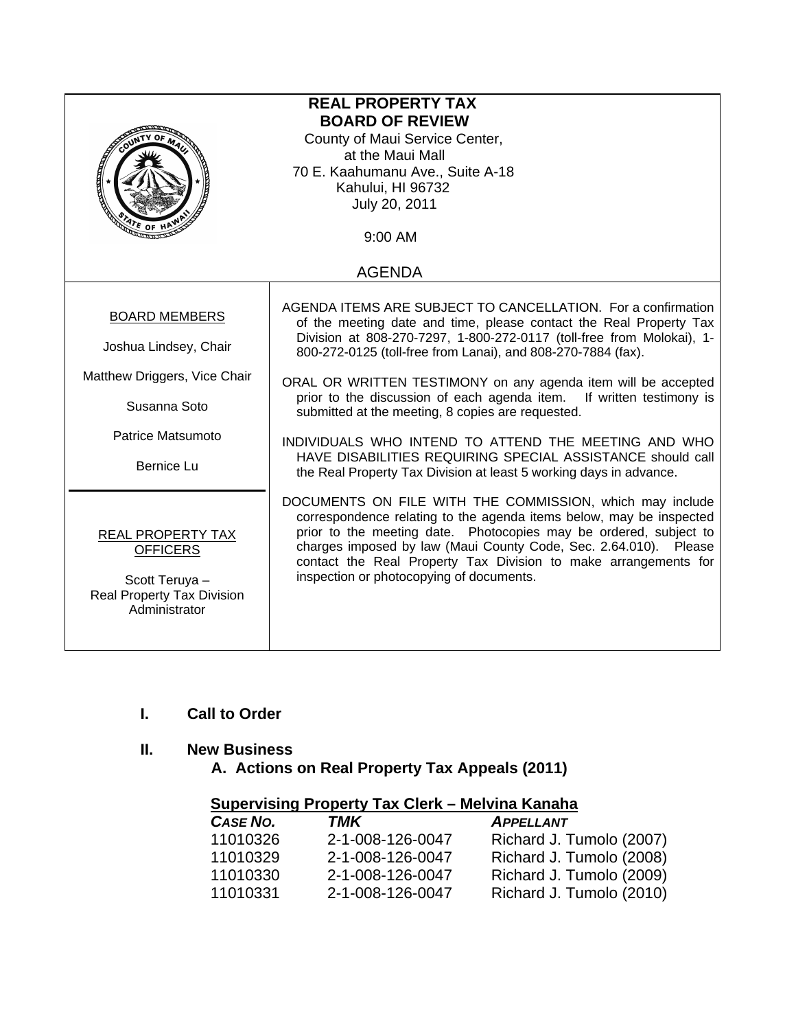| <b>REAL PROPERTY TAX</b><br><b>BOARD OF REVIEW</b><br>County of Maui Service Center,<br>at the Maui Mall<br>70 E. Kaahumanu Ave., Suite A-18<br>Kahului, HI 96732<br>July 20, 2011 |                                                                                                                                                                                                                                                                                                                                                                                                                                                                                                                                                                                                                                                                       |  |
|------------------------------------------------------------------------------------------------------------------------------------------------------------------------------------|-----------------------------------------------------------------------------------------------------------------------------------------------------------------------------------------------------------------------------------------------------------------------------------------------------------------------------------------------------------------------------------------------------------------------------------------------------------------------------------------------------------------------------------------------------------------------------------------------------------------------------------------------------------------------|--|
| <b>ATE OF H</b>                                                                                                                                                                    | 9:00 AM                                                                                                                                                                                                                                                                                                                                                                                                                                                                                                                                                                                                                                                               |  |
|                                                                                                                                                                                    | <b>AGENDA</b>                                                                                                                                                                                                                                                                                                                                                                                                                                                                                                                                                                                                                                                         |  |
| <b>BOARD MEMBERS</b><br>Joshua Lindsey, Chair<br>Matthew Driggers, Vice Chair<br>Susanna Soto<br>Patrice Matsumoto<br><b>Bernice Lu</b>                                            | AGENDA ITEMS ARE SUBJECT TO CANCELLATION. For a confirmation<br>of the meeting date and time, please contact the Real Property Tax<br>Division at 808-270-7297, 1-800-272-0117 (toll-free from Molokai), 1-<br>800-272-0125 (toll-free from Lanai), and 808-270-7884 (fax).<br>ORAL OR WRITTEN TESTIMONY on any agenda item will be accepted<br>prior to the discussion of each agenda item. If written testimony is<br>submitted at the meeting, 8 copies are requested.<br>INDIVIDUALS WHO INTEND TO ATTEND THE MEETING AND WHO<br>HAVE DISABILITIES REQUIRING SPECIAL ASSISTANCE should call<br>the Real Property Tax Division at least 5 working days in advance. |  |
| <b>REAL PROPERTY TAX</b><br><b>OFFICERS</b><br>Scott Teruya -<br><b>Real Property Tax Division</b><br>Administrator                                                                | DOCUMENTS ON FILE WITH THE COMMISSION, which may include<br>correspondence relating to the agenda items below, may be inspected<br>prior to the meeting date. Photocopies may be ordered, subject to<br>charges imposed by law (Maui County Code, Sec. 2.64.010). Please<br>contact the Real Property Tax Division to make arrangements for<br>inspection or photocopying of documents.                                                                                                                                                                                                                                                                               |  |

# **I. Call to Order**

# **II. New Business**

 **A. Actions on Real Property Tax Appeals (2011)** 

| Supervising Property Tax Clerk - Melvina Kanaha |                  |                          |
|-------------------------------------------------|------------------|--------------------------|
| <b>CASE NO.</b>                                 | TMK              | <b>APPELLANT</b>         |
| 11010326                                        | 2-1-008-126-0047 | Richard J. Tumolo (2007) |
| 11010329                                        | 2-1-008-126-0047 | Richard J. Tumolo (2008) |
| 11010330                                        | 2-1-008-126-0047 | Richard J. Tumolo (2009) |
| 11010331                                        | 2-1-008-126-0047 | Richard J. Tumolo (2010) |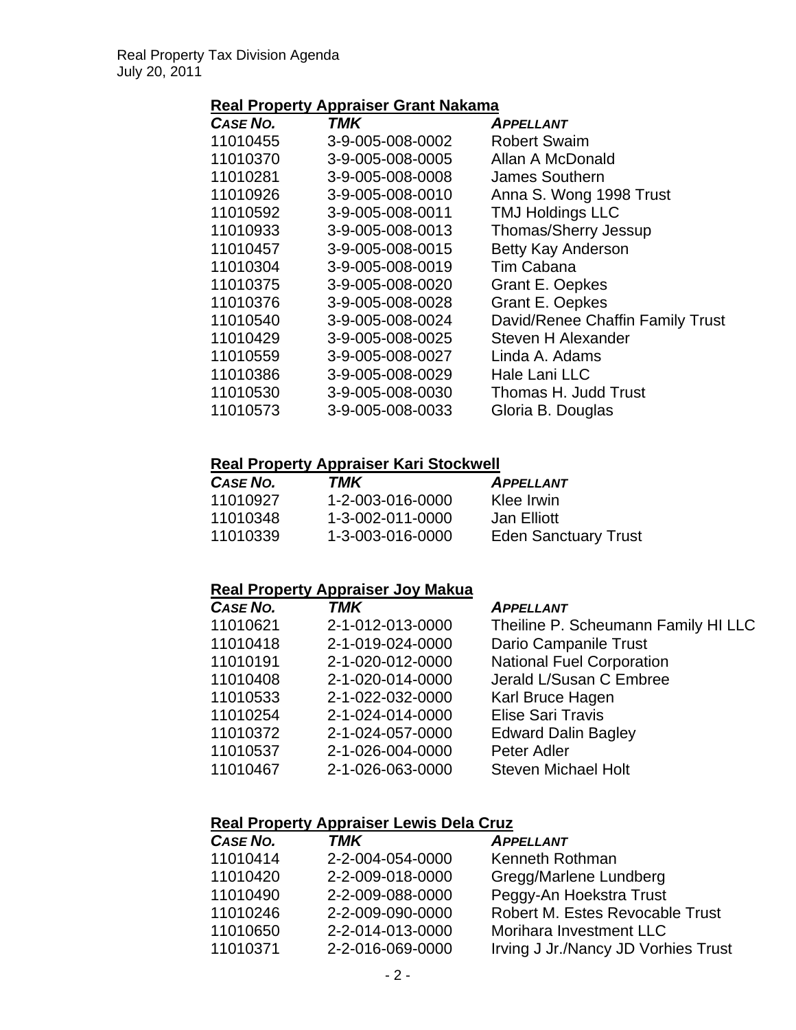# **Real Property Appraiser Grant Nakama**

| <b>CASE NO.</b> | TMK              | <b>APPELLANT</b>                 |
|-----------------|------------------|----------------------------------|
| 11010455        | 3-9-005-008-0002 | <b>Robert Swaim</b>              |
| 11010370        | 3-9-005-008-0005 | Allan A McDonald                 |
| 11010281        | 3-9-005-008-0008 | James Southern                   |
| 11010926        | 3-9-005-008-0010 | Anna S. Wong 1998 Trust          |
| 11010592        | 3-9-005-008-0011 | <b>TMJ Holdings LLC</b>          |
| 11010933        | 3-9-005-008-0013 | Thomas/Sherry Jessup             |
| 11010457        | 3-9-005-008-0015 | <b>Betty Kay Anderson</b>        |
| 11010304        | 3-9-005-008-0019 | Tim Cabana                       |
| 11010375        | 3-9-005-008-0020 | <b>Grant E. Oepkes</b>           |
| 11010376        | 3-9-005-008-0028 | <b>Grant E. Oepkes</b>           |
| 11010540        | 3-9-005-008-0024 | David/Renee Chaffin Family Trust |
| 11010429        | 3-9-005-008-0025 | Steven H Alexander               |
| 11010559        | 3-9-005-008-0027 | Linda A. Adams                   |
| 11010386        | 3-9-005-008-0029 | Hale Lani LLC                    |
| 11010530        | 3-9-005-008-0030 | Thomas H. Judd Trust             |
| 11010573        | 3-9-005-008-0033 | Gloria B. Douglas                |

### **Real Property Appraiser Kari Stockwell**

| CASE NO. | TMK              | <b>APPELLANT</b>            |
|----------|------------------|-----------------------------|
| 11010927 | 1-2-003-016-0000 | Klee Irwin                  |
| 11010348 | 1-3-002-011-0000 | Jan Elliott                 |
| 11010339 | 1-3-003-016-0000 | <b>Eden Sanctuary Trust</b> |

# **Real Property Appraiser Joy Makua**

| CASE NO. | <b>TMK</b>       | <b>APPELLANT</b>                    |
|----------|------------------|-------------------------------------|
| 11010621 | 2-1-012-013-0000 | Theiline P. Scheumann Family HI LLC |
| 11010418 | 2-1-019-024-0000 | Dario Campanile Trust               |
| 11010191 | 2-1-020-012-0000 | <b>National Fuel Corporation</b>    |
| 11010408 | 2-1-020-014-0000 | Jerald L/Susan C Embree             |
| 11010533 | 2-1-022-032-0000 | Karl Bruce Hagen                    |
| 11010254 | 2-1-024-014-0000 | <b>Elise Sari Travis</b>            |
| 11010372 | 2-1-024-057-0000 | <b>Edward Dalin Bagley</b>          |
| 11010537 | 2-1-026-004-0000 | Peter Adler                         |
| 11010467 | 2-1-026-063-0000 | <b>Steven Michael Holt</b>          |
|          |                  |                                     |

### **Real Property Appraiser Lewis Dela Cruz**

| CASE NO. | <b>TMK</b>       | <b>APPELLANT</b>                    |
|----------|------------------|-------------------------------------|
| 11010414 | 2-2-004-054-0000 | Kenneth Rothman                     |
| 11010420 | 2-2-009-018-0000 | Gregg/Marlene Lundberg              |
| 11010490 | 2-2-009-088-0000 | Peggy-An Hoekstra Trust             |
| 11010246 | 2-2-009-090-0000 | Robert M. Estes Revocable Trust     |
| 11010650 | 2-2-014-013-0000 | Morihara Investment LLC             |
| 11010371 | 2-2-016-069-0000 | Irving J Jr./Nancy JD Vorhies Trust |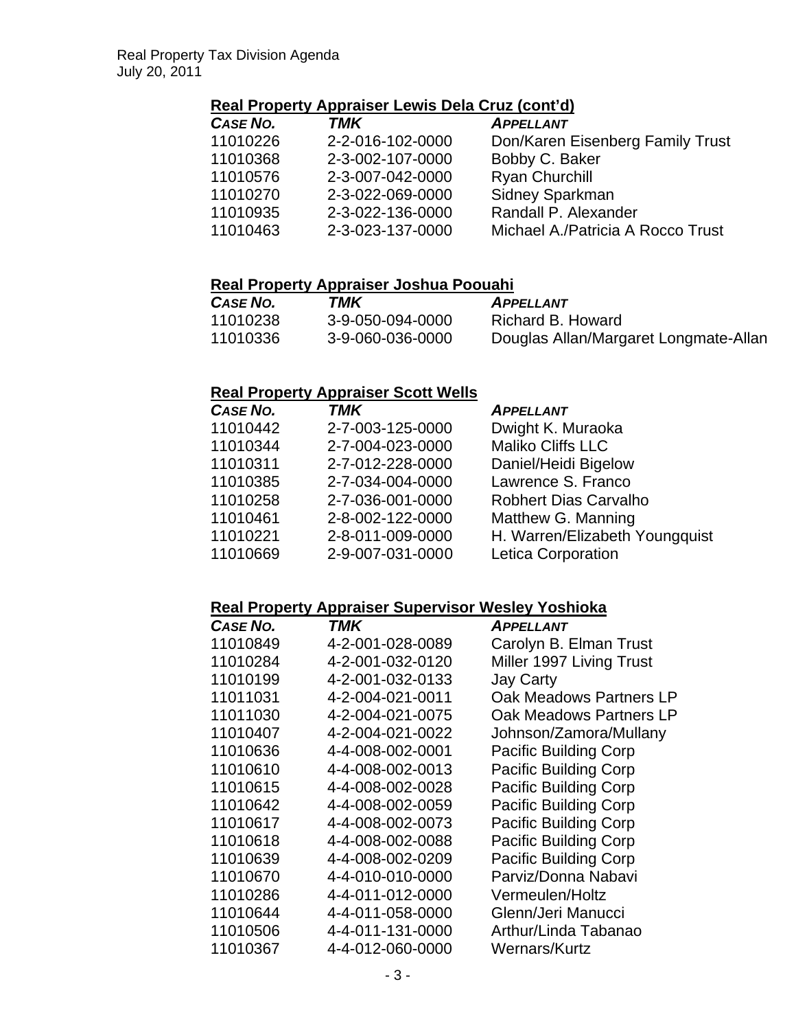### **Real Property Appraiser Lewis Dela Cruz (cont'd)**

| CASE NO. | <b>TMK</b>       | <b>APPELLANT</b>                  |
|----------|------------------|-----------------------------------|
| 11010226 | 2-2-016-102-0000 | Don/Karen Eisenberg Family Trust  |
| 11010368 | 2-3-002-107-0000 | Bobby C. Baker                    |
| 11010576 | 2-3-007-042-0000 | Ryan Churchill                    |
| 11010270 | 2-3-022-069-0000 | Sidney Sparkman                   |
| 11010935 | 2-3-022-136-0000 | Randall P. Alexander              |
| 11010463 | 2-3-023-137-0000 | Michael A./Patricia A Rocco Trust |

### **Real Property Appraiser Joshua Poouahi**

| <b>CASE NO.</b> | TMK              | <b>APPELLANT</b>                      |
|-----------------|------------------|---------------------------------------|
| 11010238        | 3-9-050-094-0000 | Richard B. Howard                     |
| 11010336        | 3-9-060-036-0000 | Douglas Allan/Margaret Longmate-Allan |

### **Real Property Appraiser Scott Wells**

| CASE NO. | <b>TMK</b>       | <b>APPELLANT</b>               |
|----------|------------------|--------------------------------|
| 11010442 | 2-7-003-125-0000 | Dwight K. Muraoka              |
| 11010344 | 2-7-004-023-0000 | Maliko Cliffs LLC              |
| 11010311 | 2-7-012-228-0000 | Daniel/Heidi Bigelow           |
| 11010385 | 2-7-034-004-0000 | Lawrence S. Franco             |
| 11010258 | 2-7-036-001-0000 | <b>Robhert Dias Carvalho</b>   |
| 11010461 | 2-8-002-122-0000 | Matthew G. Manning             |
| 11010221 | 2-8-011-009-0000 | H. Warren/Elizabeth Youngquist |
| 11010669 | 2-9-007-031-0000 | Letica Corporation             |

#### **Real Property Appraiser Supervisor Wesley Yoshioka**

| CASE NO. | TMK              | <b>APPELLANT</b>             |
|----------|------------------|------------------------------|
| 11010849 | 4-2-001-028-0089 | Carolyn B. Elman Trust       |
| 11010284 | 4-2-001-032-0120 | Miller 1997 Living Trust     |
| 11010199 | 4-2-001-032-0133 | <b>Jay Carty</b>             |
| 11011031 | 4-2-004-021-0011 | Oak Meadows Partners LP      |
| 11011030 | 4-2-004-021-0075 | Oak Meadows Partners LP      |
| 11010407 | 4-2-004-021-0022 | Johnson/Zamora/Mullany       |
| 11010636 | 4-4-008-002-0001 | <b>Pacific Building Corp</b> |
| 11010610 | 4-4-008-002-0013 | <b>Pacific Building Corp</b> |
| 11010615 | 4-4-008-002-0028 | <b>Pacific Building Corp</b> |
| 11010642 | 4-4-008-002-0059 | <b>Pacific Building Corp</b> |
| 11010617 | 4-4-008-002-0073 | <b>Pacific Building Corp</b> |
| 11010618 | 4-4-008-002-0088 | <b>Pacific Building Corp</b> |
| 11010639 | 4-4-008-002-0209 | <b>Pacific Building Corp</b> |
| 11010670 | 4-4-010-010-0000 | Parviz/Donna Nabavi          |
| 11010286 | 4-4-011-012-0000 | Vermeulen/Holtz              |
| 11010644 | 4-4-011-058-0000 | Glenn/Jeri Manucci           |
| 11010506 | 4-4-011-131-0000 | Arthur/Linda Tabanao         |
| 11010367 | 4-4-012-060-0000 | Wernars/Kurtz                |